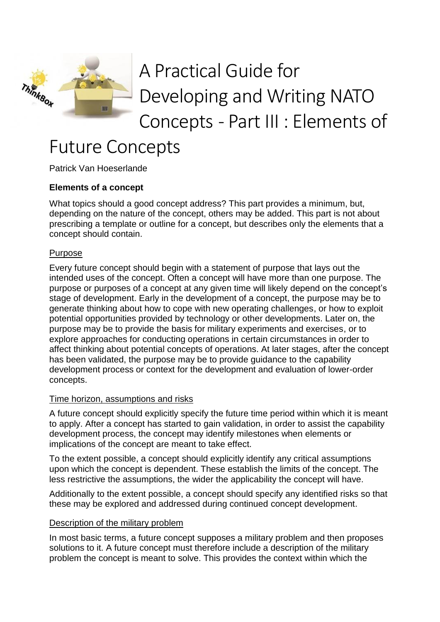

# A Practical Guide for Developing and Writing NATO Concepts - Part III : Elements of

# Future Concepts

Patrick Van Hoeserlande

# **Elements of a concept**

What topics should a good concept address? This part provides a minimum, but, depending on the nature of the concept, others may be added. This part is not about prescribing a template or outline for a concept, but describes only the elements that a concept should contain.

#### **Purpose**

Every future concept should begin with a statement of purpose that lays out the intended uses of the concept. Often a concept will have more than one purpose. The purpose or purposes of a concept at any given time will likely depend on the concept's stage of development. Early in the development of a concept, the purpose may be to generate thinking about how to cope with new operating challenges, or how to exploit potential opportunities provided by technology or other developments. Later on, the purpose may be to provide the basis for military experiments and exercises, or to explore approaches for conducting operations in certain circumstances in order to affect thinking about potential concepts of operations. At later stages, after the concept has been validated, the purpose may be to provide guidance to the capability development process or context for the development and evaluation of lower-order concepts.

#### Time horizon, assumptions and risks

A future concept should explicitly specify the future time period within which it is meant to apply. After a concept has started to gain validation, in order to assist the capability development process, the concept may identify milestones when elements or implications of the concept are meant to take effect.

To the extent possible, a concept should explicitly identify any critical assumptions upon which the concept is dependent. These establish the limits of the concept. The less restrictive the assumptions, the wider the applicability the concept will have.

Additionally to the extent possible, a concept should specify any identified risks so that these may be explored and addressed during continued concept development.

#### Description of the military problem

In most basic terms, a future concept supposes a military problem and then proposes solutions to it. A future concept must therefore include a description of the military problem the concept is meant to solve. This provides the context within which the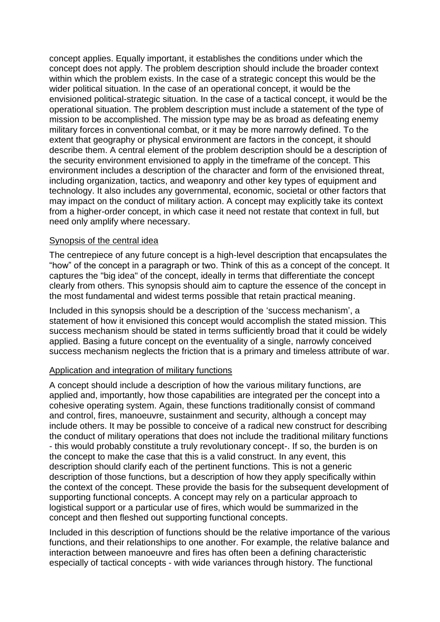concept applies. Equally important, it establishes the conditions under which the concept does not apply. The problem description should include the broader context within which the problem exists. In the case of a strategic concept this would be the wider political situation. In the case of an operational concept, it would be the envisioned political-strategic situation. In the case of a tactical concept, it would be the operational situation. The problem description must include a statement of the type of mission to be accomplished. The mission type may be as broad as defeating enemy military forces in conventional combat, or it may be more narrowly defined. To the extent that geography or physical environment are factors in the concept, it should describe them. A central element of the problem description should be a description of the security environment envisioned to apply in the timeframe of the concept. This environment includes a description of the character and form of the envisioned threat, including organization, tactics, and weaponry and other key types of equipment and technology. It also includes any governmental, economic, societal or other factors that may impact on the conduct of military action. A concept may explicitly take its context from a higher-order concept, in which case it need not restate that context in full, but need only amplify where necessary.

#### Synopsis of the central idea

The centrepiece of any future concept is a high-level description that encapsulates the "how" of the concept in a paragraph or two. Think of this as a concept of the concept. It captures the "big idea" of the concept, ideally in terms that differentiate the concept clearly from others. This synopsis should aim to capture the essence of the concept in the most fundamental and widest terms possible that retain practical meaning.

Included in this synopsis should be a description of the 'success mechanism', a statement of how it envisioned this concept would accomplish the stated mission. This success mechanism should be stated in terms sufficiently broad that it could be widely applied. Basing a future concept on the eventuality of a single, narrowly conceived success mechanism neglects the friction that is a primary and timeless attribute of war.

#### Application and integration of military functions

A concept should include a description of how the various military functions, are applied and, importantly, how those capabilities are integrated per the concept into a cohesive operating system. Again, these functions traditionally consist of command and control, fires, manoeuvre, sustainment and security, although a concept may include others. It may be possible to conceive of a radical new construct for describing the conduct of military operations that does not include the traditional military functions - this would probably constitute a truly revolutionary concept-. If so, the burden is on the concept to make the case that this is a valid construct. In any event, this description should clarify each of the pertinent functions. This is not a generic description of those functions, but a description of how they apply specifically within the context of the concept. These provide the basis for the subsequent development of supporting functional concepts. A concept may rely on a particular approach to logistical support or a particular use of fires, which would be summarized in the concept and then fleshed out supporting functional concepts.

Included in this description of functions should be the relative importance of the various functions, and their relationships to one another. For example, the relative balance and interaction between manoeuvre and fires has often been a defining characteristic especially of tactical concepts - with wide variances through history. The functional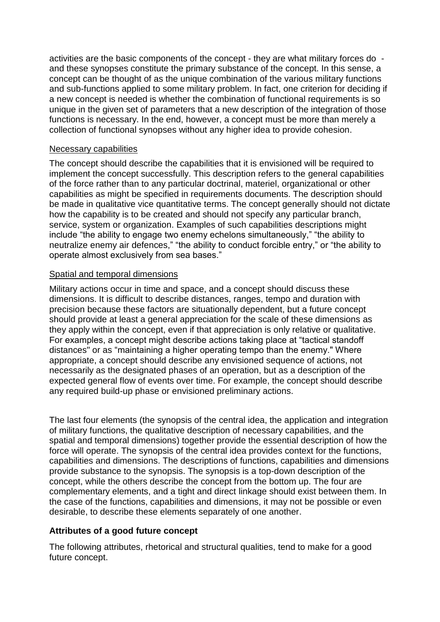activities are the basic components of the concept - they are what military forces do and these synopses constitute the primary substance of the concept. In this sense, a concept can be thought of as the unique combination of the various military functions and sub-functions applied to some military problem. In fact, one criterion for deciding if a new concept is needed is whether the combination of functional requirements is so unique in the given set of parameters that a new description of the integration of those functions is necessary. In the end, however, a concept must be more than merely a collection of functional synopses without any higher idea to provide cohesion.

#### Necessary capabilities

The concept should describe the capabilities that it is envisioned will be required to implement the concept successfully. This description refers to the general capabilities of the force rather than to any particular doctrinal, materiel, organizational or other capabilities as might be specified in requirements documents. The description should be made in qualitative vice quantitative terms. The concept generally should not dictate how the capability is to be created and should not specify any particular branch, service, system or organization. Examples of such capabilities descriptions might include "the ability to engage two enemy echelons simultaneously," "the ability to neutralize enemy air defences," "the ability to conduct forcible entry," or "the ability to operate almost exclusively from sea bases."

#### Spatial and temporal dimensions

Military actions occur in time and space, and a concept should discuss these dimensions. It is difficult to describe distances, ranges, tempo and duration with precision because these factors are situationally dependent, but a future concept should provide at least a general appreciation for the scale of these dimensions as they apply within the concept, even if that appreciation is only relative or qualitative. For examples, a concept might describe actions taking place at "tactical standoff distances" or as "maintaining a higher operating tempo than the enemy." Where appropriate, a concept should describe any envisioned sequence of actions, not necessarily as the designated phases of an operation, but as a description of the expected general flow of events over time. For example, the concept should describe any required build-up phase or envisioned preliminary actions.

The last four elements (the synopsis of the central idea, the application and integration of military functions, the qualitative description of necessary capabilities, and the spatial and temporal dimensions) together provide the essential description of how the force will operate. The synopsis of the central idea provides context for the functions, capabilities and dimensions. The descriptions of functions, capabilities and dimensions provide substance to the synopsis. The synopsis is a top-down description of the concept, while the others describe the concept from the bottom up. The four are complementary elements, and a tight and direct linkage should exist between them. In the case of the functions, capabilities and dimensions, it may not be possible or even desirable, to describe these elements separately of one another.

#### **Attributes of a good future concept**

The following attributes, rhetorical and structural qualities, tend to make for a good future concept.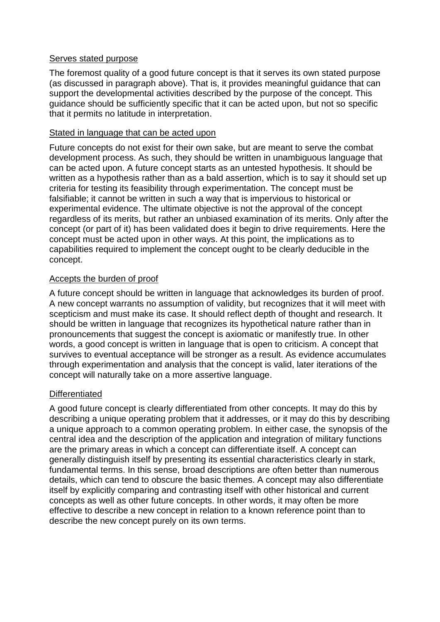#### Serves stated purpose

The foremost quality of a good future concept is that it serves its own stated purpose (as discussed in paragraph above). That is, it provides meaningful guidance that can support the developmental activities described by the purpose of the concept. This guidance should be sufficiently specific that it can be acted upon, but not so specific that it permits no latitude in interpretation.

#### Stated in language that can be acted upon

Future concepts do not exist for their own sake, but are meant to serve the combat development process. As such, they should be written in unambiguous language that can be acted upon. A future concept starts as an untested hypothesis. It should be written as a hypothesis rather than as a bald assertion, which is to say it should set up criteria for testing its feasibility through experimentation. The concept must be falsifiable; it cannot be written in such a way that is impervious to historical or experimental evidence. The ultimate objective is not the approval of the concept regardless of its merits, but rather an unbiased examination of its merits. Only after the concept (or part of it) has been validated does it begin to drive requirements. Here the concept must be acted upon in other ways. At this point, the implications as to capabilities required to implement the concept ought to be clearly deducible in the concept.

#### Accepts the burden of proof

A future concept should be written in language that acknowledges its burden of proof. A new concept warrants no assumption of validity, but recognizes that it will meet with scepticism and must make its case. It should reflect depth of thought and research. It should be written in language that recognizes its hypothetical nature rather than in pronouncements that suggest the concept is axiomatic or manifestly true. In other words, a good concept is written in language that is open to criticism. A concept that survives to eventual acceptance will be stronger as a result. As evidence accumulates through experimentation and analysis that the concept is valid, later iterations of the concept will naturally take on a more assertive language.

#### **Differentiated**

A good future concept is clearly differentiated from other concepts. It may do this by describing a unique operating problem that it addresses, or it may do this by describing a unique approach to a common operating problem. In either case, the synopsis of the central idea and the description of the application and integration of military functions are the primary areas in which a concept can differentiate itself. A concept can generally distinguish itself by presenting its essential characteristics clearly in stark, fundamental terms. In this sense, broad descriptions are often better than numerous details, which can tend to obscure the basic themes. A concept may also differentiate itself by explicitly comparing and contrasting itself with other historical and current concepts as well as other future concepts. In other words, it may often be more effective to describe a new concept in relation to a known reference point than to describe the new concept purely on its own terms.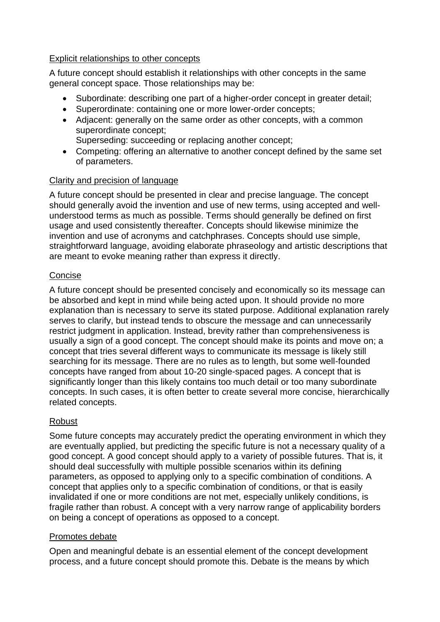# Explicit relationships to other concepts

A future concept should establish it relationships with other concepts in the same general concept space. Those relationships may be:

- Subordinate: describing one part of a higher-order concept in greater detail;
- Superordinate: containing one or more lower-order concepts;
- Adjacent: generally on the same order as other concepts, with a common superordinate concept;
	- Superseding: succeeding or replacing another concept;
- Competing: offering an alternative to another concept defined by the same set of parameters.

# Clarity and precision of language

A future concept should be presented in clear and precise language. The concept should generally avoid the invention and use of new terms, using accepted and wellunderstood terms as much as possible. Terms should generally be defined on first usage and used consistently thereafter. Concepts should likewise minimize the invention and use of acronyms and catchphrases. Concepts should use simple, straightforward language, avoiding elaborate phraseology and artistic descriptions that are meant to evoke meaning rather than express it directly.

# Concise

A future concept should be presented concisely and economically so its message can be absorbed and kept in mind while being acted upon. It should provide no more explanation than is necessary to serve its stated purpose. Additional explanation rarely serves to clarify, but instead tends to obscure the message and can unnecessarily restrict judgment in application. Instead, brevity rather than comprehensiveness is usually a sign of a good concept. The concept should make its points and move on; a concept that tries several different ways to communicate its message is likely still searching for its message. There are no rules as to length, but some well-founded concepts have ranged from about 10-20 single-spaced pages. A concept that is significantly longer than this likely contains too much detail or too many subordinate concepts. In such cases, it is often better to create several more concise, hierarchically related concepts.

# Robust

Some future concepts may accurately predict the operating environment in which they are eventually applied, but predicting the specific future is not a necessary quality of a good concept. A good concept should apply to a variety of possible futures. That is, it should deal successfully with multiple possible scenarios within its defining parameters, as opposed to applying only to a specific combination of conditions. A concept that applies only to a specific combination of conditions, or that is easily invalidated if one or more conditions are not met, especially unlikely conditions, is fragile rather than robust. A concept with a very narrow range of applicability borders on being a concept of operations as opposed to a concept.

# Promotes debate

Open and meaningful debate is an essential element of the concept development process, and a future concept should promote this. Debate is the means by which